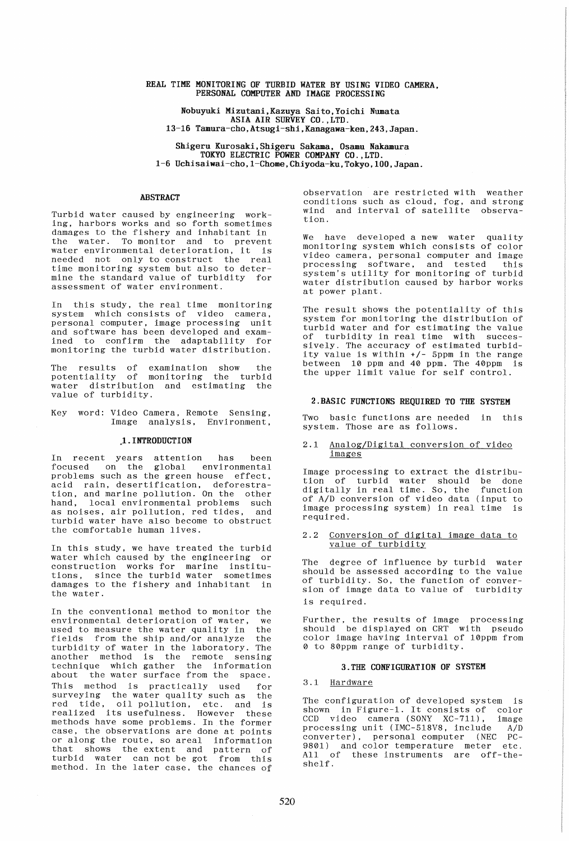## REAL TIME MONITORING OF TURBID WATER BY USING VIDEO CAMERA PERSONAL COMPUTER AND IMAGE PROCESSING

Nobuyuki Mizutani.Kazuya Saito,Yoichi Numata ASIA AIR SURVEY CO.,LTD. 13-16 Tamura-cho,Atsugi-shi.Kanagawa-ken,243,Japan.

Shigeru Kurosaki,Shigeru Sakama. Osamu Nakamura TOKYO ELECTRIC POWER COMPANY CO., LTD. 1-6 Uchisaiwai-cho, 1-Chome, Chiyoda-ku, Tokyo, 100, Japan.

## ABSTRACT

Turbid water caused by engineering working, harbors works and so forth sometimes damages to the fishery and inhabitant in the water. To monitor and to prevent water environmental deterioration, it is needed not only to construct the real time monitoring system but also to determine the standard value of turbidity for assessment of water environment.

In this study, the real time monitoring system which consists of video camera, personal computer, image processing unit and software has been developed and examined to confirm the adaptability for monitoring the turbid water distribution.

The results of examination show the potentiality of monitoring the turbid water distribution and estimating the value of turbidity.

Key word: Video Camera, Remote Sensing, Image analysis, Environment,

# .1. INTRODUCTION

In recent years attention has been focused on the global environmental problems such as the green house effect, acid rain, desertification, deforestration, and marine pollution. On the other hand, local environmental problems such as noises, air pollution, red tides, and turbid water have also become to obstruct the comfortable human lives.

In this study, we have treated the turbid water which caused by the engineering or construction works for marine institutions. since the turbid water sometimes damages to the fishery and inhabitant in the water.

In the conventional method to monitor the environmental deterioration of water, we used to measure the water quality in the fields from the ship and/or analyze the turbidity of water in the laboratory. The another method is the remote sensing technique which gather the information about the water surface from the space. This method is practically used surveying the water quality such as the red tide, oil pollution, etc. and is realized its usefulness. However these methods have some problems. In the former case, the observations are done at points or along the route, so areal information that shows the extent and pattern of turbid water can not be got from this turbid water can not be got from this<br>method. In the later case, the chances of

observation are restricted with weather conditions such as cloud, fog, and strong wind and interval of satellite observation.

We have developed a new water quality monitoring system which consists of color video camera, personal computer and image<br>processing software, and tested this processing software, and tested system's utility for monitoring of turbid water distribution caused by harbor works at power plant.

The result shows the potentiality of this system for monitoring the distribution of turbid water and for estimating the value turbidity in real time with successively. The accuracy of estimated turbidity value is within +/- 5ppm in the range between 10 ppm and 40 ppm. The 40ppm is the upper limit value for self control.

#### 2.BASIC FUNCTIONS REQUIRED TO THE SYSTEM

Two basic functions are needed in this system. Those are as follows .

#### 2.1 Analog/Digital conversion of video images

Image processing to extract the distribution of turbid water should be done digitally in real time. So, the function of A/D conversion of video data (input to image processing system) in real time is required.

#### 2.2 Conversion of digital image data to value of turbidity

The degree of influence by turbid water should be assessed according to the value of turbidity. So, the function of conversion of image data to value of turbidity is required.

Further, the results of image processing should be displayed on CRT with pseudo color image having interval of 10ppm from o to 80ppm range of turbidity.

#### 3.THE CONFIGURATION OF SYSTEM

# 3.1 Hardware

The configuration of developed system is shown in Figure-i. It consists of color CCD video camera (SONY XC-711), image processing unit (IMC-518V8, include A/D converter), personal computer (NEC PC-9801) and color temperature meter etc. All of these instruments are off-theshelf.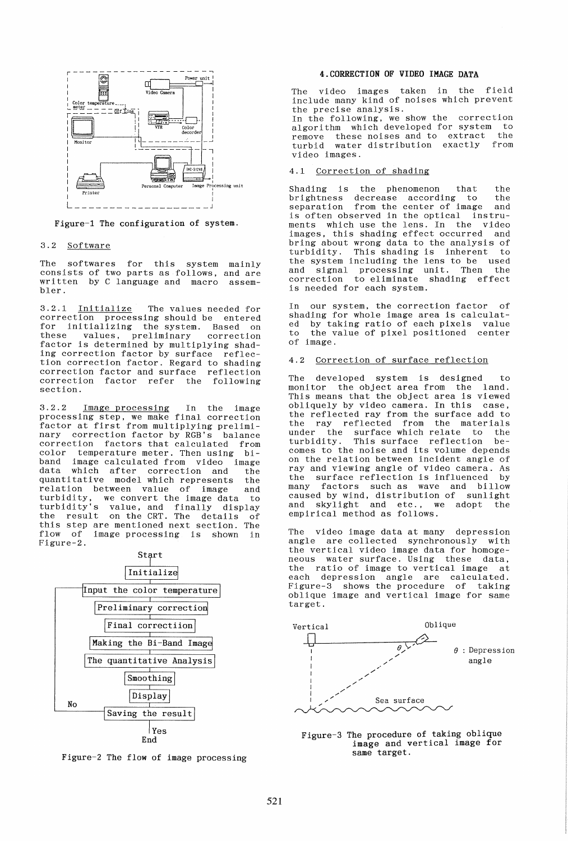

Figure-l The configuration of system.

#### 3.2 Software

The softwares for this system mainly consists of two parts as follows, and are written by C language and macro assem-<br>bler.

3.2.1 Initialize The values needed for correction processing should be entered for initializing the system. Based on values, preliminary factor is determined by multiplying shading correction factor by surface reflection correction factor. Regard to shading correction factor and surface reflection correction factor refer the following section.

3.2.2 Image processing In the image processing step, we make final correction factor at first from multiplying preliminary correction factor by RGB's balance correction factors that calculated from color temperature meter. Then using biband image calculated from video image<br>data which after correction and the which after correction and the<br>itative model-which-represents the quantitative model which represents relation between value of image and turbidity, we convert the image data to turbidity's value, and finally display the result on the CRT. The details of this step are mentioned next section. The flow of image processing is shown in Figure-2.





Figure-2 The flow of image processing

# 4.CORRECTION OF VIDEO IMAGE DATA

The video images taken in the field include many kind of noises which prevent the precise analysis.

In the following, we show the correction algorithm which developed for system to remove these noises and to extract the<br>turbid water distribution exactly from water distribution exactly video images.

## 4.1 Correction of shading

Shading is the phenomenon that the<br>brightness decrease according to the brightness decrease according to the separation from the center of image and separation from the center of image and<br>is often observed in the optical instru-<br>ments which use the lens. In the video ments which use the lens. In the images, this shading effect occurred and bring about wrong data to the analysis of turbidity. This shading is inherent to the system including the lens to be used and signal processing unit. Then the correction to eliminate shading efrect is needed for each system.

In our system, the correction factor of shading for whole image area is calculated by taking ratio of each pixels value<br>to the value of pixel positioned center the value of pixel positioned center of image.

## 4.2 Correction of surface reflection

The developed system is designed monitor the object area from the land. This means that the object area is viewed obliquely by video camera. In this case, the reflected ray from the surface add to the ray reflected from the materials<br>under the surface which relate to the under the surface which relate to the turbidity. This surface reflection beturbidity. This surface reflection be-<br>comes to the noise and its volume depends<br>on the relation between incident angle of ray and viewing angle of video camera. As the surface reflection is influenced many factors such as wave and billow caused by wind, distribution of sunlight and skylight and etc., we adopt empirical method as follows.

The video image data at many depression angle are collected synchronously with the vertical video image data for homogeneous water surface. Using these data, the ratio of image to vertical image at each depression angle are calculated. Figure-3 shows the procedure of taking oblique image and vertical image for same target.



Figure-3 The procedure of taking oblique image and vertical image for same target.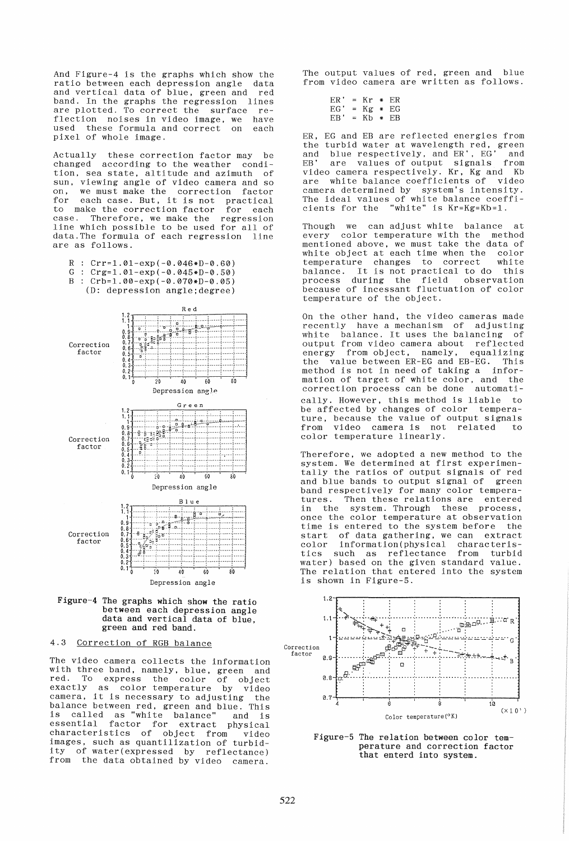And Figure-4 is the graphs which show the ratio between each depression angle data and vertical data of blue, green and band. In the graphs the regression lines are plotted. To correct the surface reflection noises in video image, we have<br>used these formula and correct on each used these formula and correct pixel of whole image.

Actually these correction factor may be changed according to the weather condition, sea state, altitude and azimuth of sun, viewing angle of video camera and so<br>on. we must make the correction factor on, we must make the correction factor<br>for each case. But, it is not practical each case. But, it is not practical<br>make the correction factor for each to make the correction factor<br>case. Therefore, we make the Therefore, we make the regression line which possible to be used for all of data. The formula of each regression line are as follows.

- $R : Crr=1.01-exp(-0.046*D-0.60)$
- G :  $Crg=1.01-exp(-0.045*D-0.50)$
- B :  $Crb=1.00-exp(-0.070*D-0.05)$





 $\overline{20}$ 

40 60 80

Depression angle

## 4.3 Correction of RGB balance

The video camera collects the information with three band, namely, blue, green and red. To express the color of object exactly as color temperature by video camera, it is necessary to adjusting the balance between red, green and blue. This is called as "white balance" and is essential factor for extract physical characteristics of object from video images, such as quantilization of turbidity of water(expressed by reflectance) from the data obtained by video camera.

The output values of red, green and blue from video camera are written as follows.

| ER ' |     | = Kr * ER         |  |
|------|-----|-------------------|--|
| EG ' | $=$ | $Kg$ * EG         |  |
| EB ' | $=$ | $Kh$ $\star$ $ER$ |  |

ER, EG and EB are reflected energies from the turbid water at wavelength red, green and blue respectively, and ER', EG' and EB' are values of output signals from video camera respectively. Kr, Kg and Kb are white balance coefficients of video camera determined by system's intensity. The ideal values of white balance coeffi-<br>cients for the "white" is Kr=Kg=Kb=1. "white" is Kr=Kg=Kb=1.

Though we can adjust white balance at<br>every color temperature with the method every color temperature with the mentioned above, we must take the data of<br>white object at each time when the color white object at each time when the color<br>temperature changes to correct white temperature changes to correct white balance. It is not practical to do process during the field observation because of incessant fluctuation of color temperature of the object.

On the other hand, the video cameras made recently have a mechanism of adjusting white balance. It uses the balancing of output from video camera about reflected<br>energy from object, namely, equalizing from object, namely, the value between ER-EG and EB-EG. This method is not in need of taking a information of target of white color, and the correction process can be done automatically. However, this method is liable to be affected by changes of color temperature, because the value of output signals<br>from video camera is not related to from video camera is not related to color temperature linearly.

Therefore, we adopted a new method to the system. We determined at first experimentally the ratios of output signals of red<br>and blue bands to output signal of green and blue bands to output signal of band respectively for many color tempera-<br>tures. Then these relations are entered Then these relations are entered in the system. Through these process, once the color temperature at observation<br>time is entered to the system before the time is entered to the system before start of data gathering, we can extract<br>color information(physical characterisinformation(physical characteris-<br>such as reflectance from turbid tics such as reflectance water) based on the given standard value. The relation that entered into the system is shown in Figure-5.



Figure-5 The relation between color temperature and correction factor that enterd into system.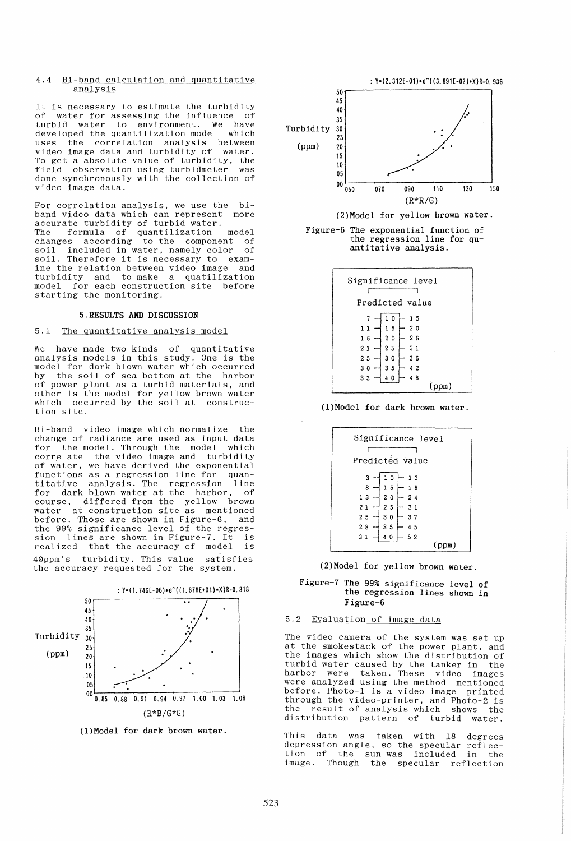### 4.4 Bi-band calculation and quantitative analysis

It is necessary to estimate the turbidity of water for assessing the influence of turbid water to environment. We have developed the quantilization model which uses the correlation analysis between video image data and turbidity of water. To get a absolute value of turbidity, the field observation using turbidmeter was done synchronously with the collection of video image data.

For correlation analysis, we use the biband video data which can represent more sand video data which can represent The formula of quantilization model changes according to the component of soil included in water, namely color of soil. Therefore it is necessary to examine the relation between video image and turbidity and to make a quatilization model for each construction site before starting the monitoring.

#### 5.RESULTS AND DISCUSSION

# 5.1 The quantitative analysis model

We have made two kinds of quantitative analysis models in this study. One is the model for dark blown water which occurred by the soil of sea bottom at the harbor of power plant as a turbid materials, and other is the model for yellow brown water which occurred by the soil at construction site.

Bi-band video image which normalize the change of radiance are used as input data<br>for the model. Through the model which the model. Through the model which correlate the video image and turbidity of water, we have derived the exponential functions as a regression line for quantitative analysis. The regression line for dark blown water at the harbor, of course, differed from the yellow brown water at construction site as mentioned before. Those are shown in Figure-6, and the 99% significance level of the regression lines are shown in Figure-7. It is<br>realized that the accuracy of model is realized that the accuracy of model 40ppm's turbidity. This value satisfies the accuracy requested for the system.



(l)Model for dark brown water.





Figure-6 The exponential function of the regression line for quantitative analysis.



(l)Model for dark brown water.



(2)Model for yellow brown water.

Figure-7 The 99% significance level of the regression lines shown in Figure-6

# 5.2 Evaluation of image data

The video camera of the system was set up at the smokestack of the power plant, and the images which show the distribution of turbid water caused by the tanker in the harbor were taken. These video images were analyzed using the method mentioned before. Photo-1 is a video image printed through the video-printer, and Photo-2 is the result of analysis which shows the distribution pattern of turbid water.

This data was taken with 18 degrees depression angle, so the specular reflection of the sun was included in the image. Though the specular reflection